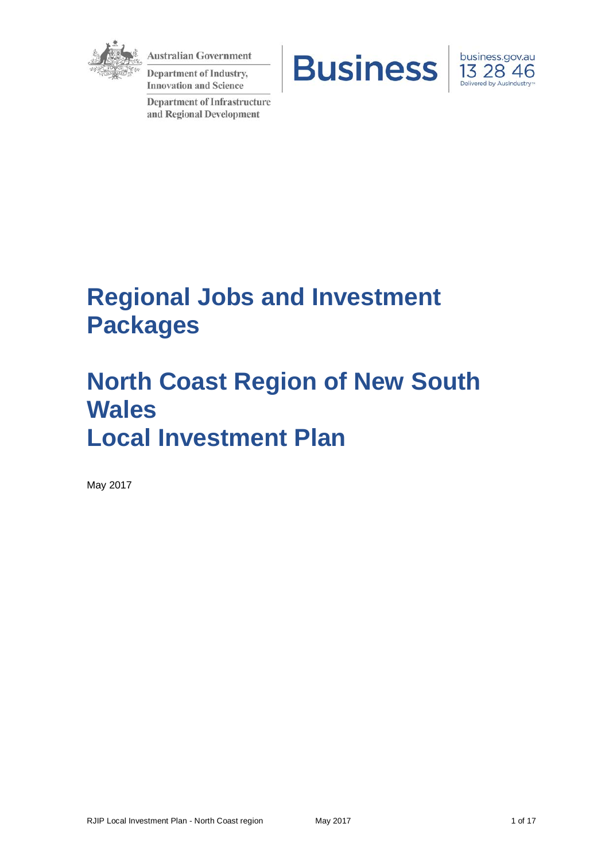

**Australian Government** 

**Department of Industry, Innovation and Science** 

**Department of Infrastructure** and Regional Development





# **Regional Jobs and Investment Packages**

# **North Coast Region of New South Wales Local Investment Plan**

May 2017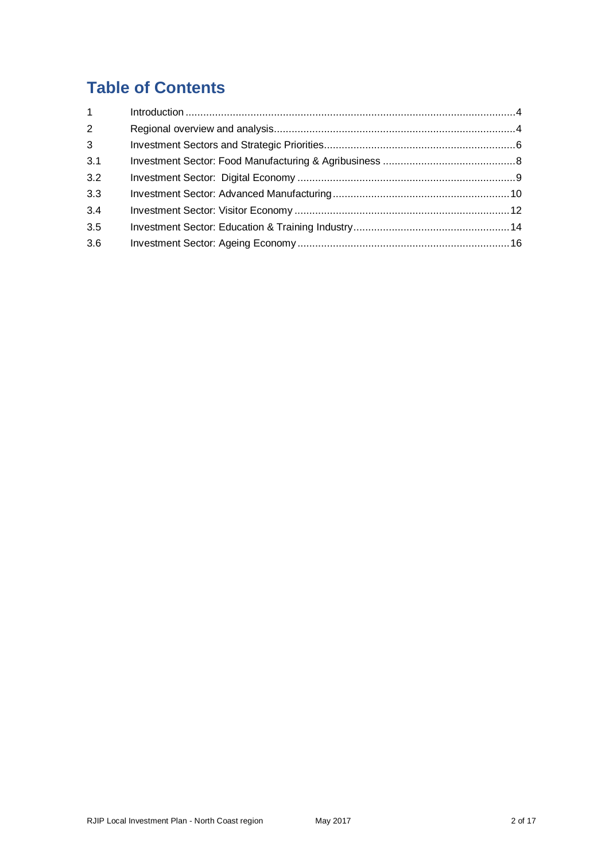## **Table of Contents**

| $1 \quad$    |  |
|--------------|--|
| 2            |  |
| $\mathbf{3}$ |  |
| 3.1          |  |
| 3.2          |  |
| 3.3          |  |
| 3.4          |  |
| 3.5          |  |
| 3.6          |  |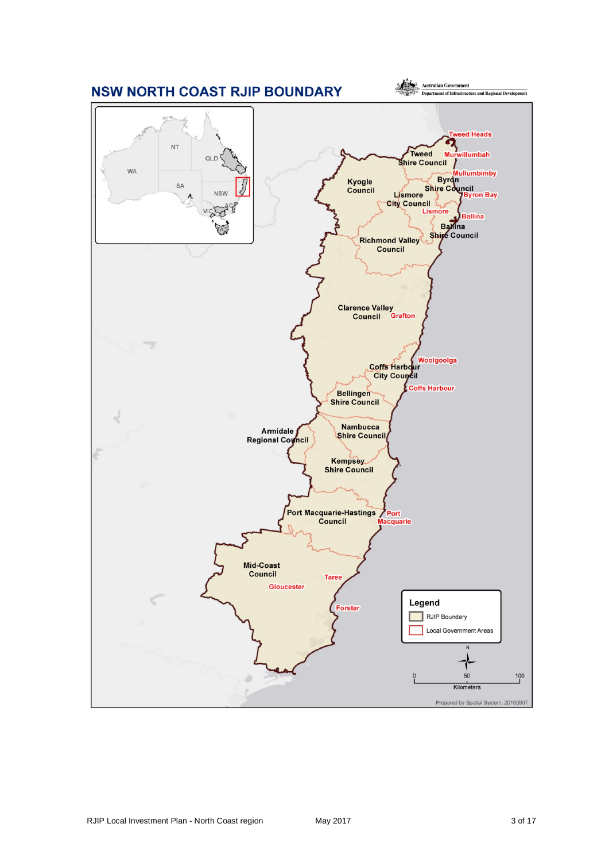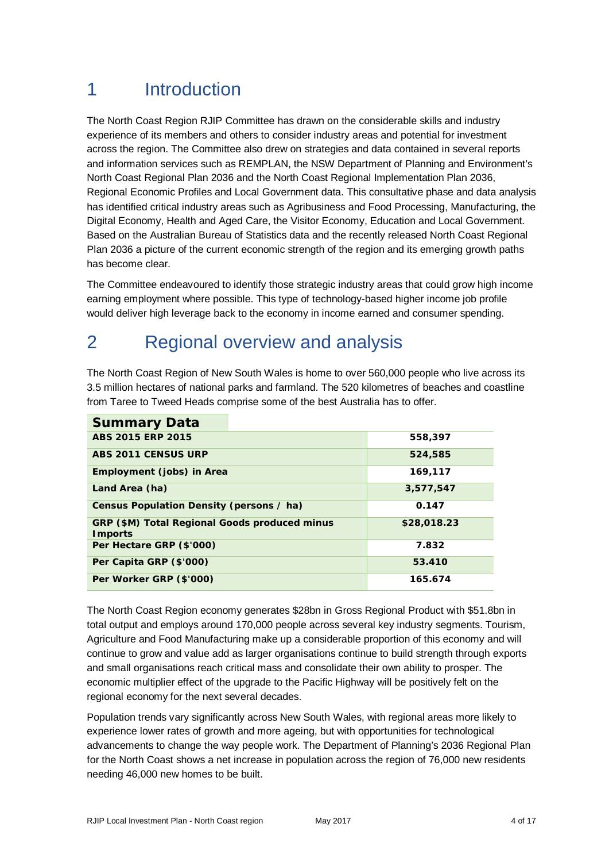## 1 Introduction

The North Coast Region RJIP Committee has drawn on the considerable skills and industry experience of its members and others to consider industry areas and potential for investment across the region. The Committee also drew on strategies and data contained in several reports and information services such as REMPLAN, the NSW Department of Planning and Environment's North Coast Regional Plan 2036 and the North Coast Regional Implementation Plan 2036, Regional Economic Profiles and Local Government data. This consultative phase and data analysis has identified critical industry areas such as Agribusiness and Food Processing, Manufacturing, the Digital Economy, Health and Aged Care, the Visitor Economy, Education and Local Government. Based on the Australian Bureau of Statistics data and the recently released North Coast Regional Plan 2036 a picture of the current economic strength of the region and its emerging growth paths has become clear.

The Committee endeavoured to identify those strategic industry areas that could grow high income earning employment where possible. This type of technology-based higher income job profile would deliver high leverage back to the economy in income earned and consumer spending.

## 2 Regional overview and analysis

The North Coast Region of New South Wales is home to over 560,000 people who live across its 3.5 million hectares of national parks and farmland. The 520 kilometres of beaches and coastline from Taree to Tweed Heads comprise some of the best Australia has to offer.

| <b>Summary Data</b>                                              |             |
|------------------------------------------------------------------|-------------|
| ABS 2015 ERP 2015                                                | 558,397     |
| ABS 2011 CENSUS URP                                              | 524,585     |
| Employment (jobs) in Area                                        | 169,117     |
| Land Area (ha)                                                   | 3,577,547   |
| Census Population Density (persons / ha)                         | 0.147       |
| GRP (\$M) Total Regional Goods produced minus<br><b>I</b> mports | \$28,018.23 |
| Per Hectare GRP (\$'000)                                         | 7.832       |
| Per Capita GRP (\$'000)                                          | 53.410      |
| Per Worker GRP (\$'000)                                          | 165.674     |

The North Coast Region economy generates \$28bn in Gross Regional Product with \$51.8bn in total output and employs around 170,000 people across several key industry segments. Tourism, Agriculture and Food Manufacturing make up a considerable proportion of this economy and will continue to grow and value add as larger organisations continue to build strength through exports and small organisations reach critical mass and consolidate their own ability to prosper. The economic multiplier effect of the upgrade to the Pacific Highway will be positively felt on the regional economy for the next several decades.

Population trends vary significantly across New South Wales, with regional areas more likely to experience lower rates of growth and more ageing, but with opportunities for technological advancements to change the way people work. The Department of Planning's 2036 Regional Plan for the North Coast shows a net increase in population across the region of 76,000 new residents needing 46,000 new homes to be built.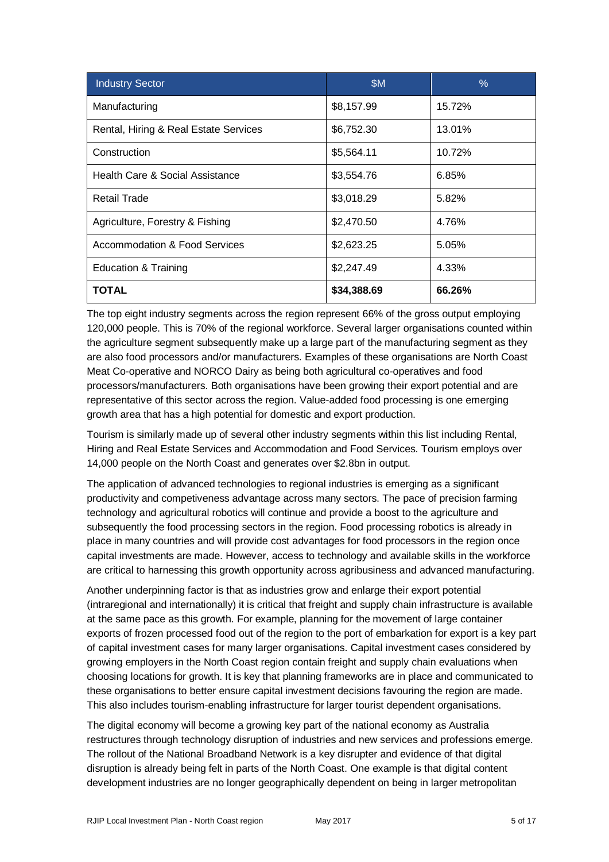| <b>Industry Sector</b>                | \$M         | $\%$   |
|---------------------------------------|-------------|--------|
| Manufacturing                         | \$8,157.99  | 15.72% |
| Rental, Hiring & Real Estate Services | \$6,752.30  | 13.01% |
| Construction                          | \$5,564.11  | 10.72% |
| Health Care & Social Assistance       | \$3,554.76  | 6.85%  |
| <b>Retail Trade</b>                   | \$3,018.29  | 5.82%  |
| Agriculture, Forestry & Fishing       | \$2,470.50  | 4.76%  |
| Accommodation & Food Services         | \$2,623.25  | 5.05%  |
| <b>Education &amp; Training</b>       | \$2,247.49  | 4.33%  |
| <b>TOTAL</b>                          | \$34,388.69 | 66.26% |

The top eight industry segments across the region represent 66% of the gross output employing 120,000 people. This is 70% of the regional workforce. Several larger organisations counted within the agriculture segment subsequently make up a large part of the manufacturing segment as they are also food processors and/or manufacturers. Examples of these organisations are North Coast Meat Co-operative and NORCO Dairy as being both agricultural co-operatives and food processors/manufacturers. Both organisations have been growing their export potential and are representative of this sector across the region. Value-added food processing is one emerging growth area that has a high potential for domestic and export production.

Tourism is similarly made up of several other industry segments within this list including Rental, Hiring and Real Estate Services and Accommodation and Food Services. Tourism employs over 14,000 people on the North Coast and generates over \$2.8bn in output.

The application of advanced technologies to regional industries is emerging as a significant productivity and competiveness advantage across many sectors. The pace of precision farming technology and agricultural robotics will continue and provide a boost to the agriculture and subsequently the food processing sectors in the region. Food processing robotics is already in place in many countries and will provide cost advantages for food processors in the region once capital investments are made. However, access to technology and available skills in the workforce are critical to harnessing this growth opportunity across agribusiness and advanced manufacturing.

Another underpinning factor is that as industries grow and enlarge their export potential (intraregional and internationally) it is critical that freight and supply chain infrastructure is available at the same pace as this growth. For example, planning for the movement of large container exports of frozen processed food out of the region to the port of embarkation for export is a key part of capital investment cases for many larger organisations. Capital investment cases considered by growing employers in the North Coast region contain freight and supply chain evaluations when choosing locations for growth. It is key that planning frameworks are in place and communicated to these organisations to better ensure capital investment decisions favouring the region are made. This also includes tourism-enabling infrastructure for larger tourist dependent organisations.

The digital economy will become a growing key part of the national economy as Australia restructures through technology disruption of industries and new services and professions emerge. The rollout of the National Broadband Network is a key disrupter and evidence of that digital disruption is already being felt in parts of the North Coast. One example is that digital content development industries are no longer geographically dependent on being in larger metropolitan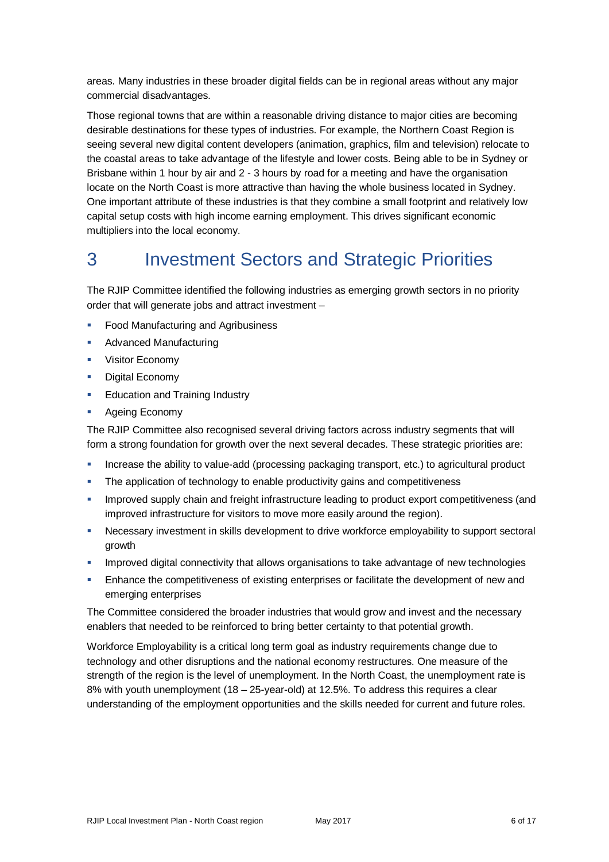areas. Many industries in these broader digital fields can be in regional areas without any major commercial disadvantages.

Those regional towns that are within a reasonable driving distance to major cities are becoming desirable destinations for these types of industries. For example, the Northern Coast Region is seeing several new digital content developers (animation, graphics, film and television) relocate to the coastal areas to take advantage of the lifestyle and lower costs. Being able to be in Sydney or Brisbane within 1 hour by air and 2 - 3 hours by road for a meeting and have the organisation locate on the North Coast is more attractive than having the whole business located in Sydney. One important attribute of these industries is that they combine a small footprint and relatively low capital setup costs with high income earning employment. This drives significant economic multipliers into the local economy.

## 3 Investment Sectors and Strategic Priorities

The RJIP Committee identified the following industries as emerging growth sectors in no priority order that will generate jobs and attract investment –

- Food Manufacturing and Agribusiness
- Advanced Manufacturing
- **Visitor Economy**
- **Digital Economy**
- **Education and Training Industry**
- **Ageing Economy**

The RJIP Committee also recognised several driving factors across industry segments that will form a strong foundation for growth over the next several decades. These strategic priorities are:

- Increase the ability to value-add (processing packaging transport, etc.) to agricultural product
- **The application of technology to enable productivity gains and competitiveness**
- Improved supply chain and freight infrastructure leading to product export competitiveness (and improved infrastructure for visitors to move more easily around the region).
- Necessary investment in skills development to drive workforce employability to support sectoral growth
- Improved digital connectivity that allows organisations to take advantage of new technologies
- Enhance the competitiveness of existing enterprises or facilitate the development of new and emerging enterprises

The Committee considered the broader industries that would grow and invest and the necessary enablers that needed to be reinforced to bring better certainty to that potential growth.

Workforce Employability is a critical long term goal as industry requirements change due to technology and other disruptions and the national economy restructures. One measure of the strength of the region is the level of unemployment. In the North Coast, the unemployment rate is 8% with youth unemployment (18 – 25-year-old) at 12.5%. To address this requires a clear understanding of the employment opportunities and the skills needed for current and future roles.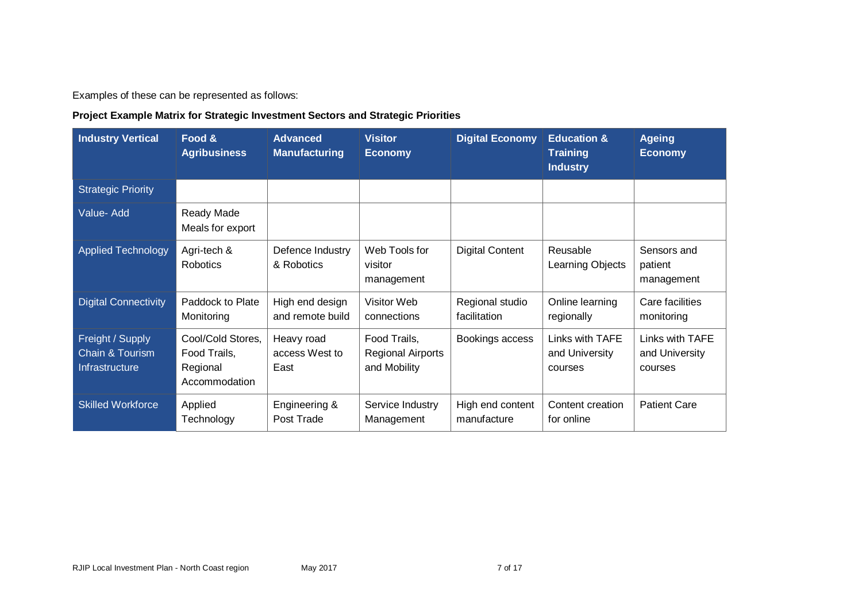Examples of these can be represented as follows:

## **Project Example Matrix for Strategic Investment Sectors and Strategic Priorities**

| <b>Industry Vertical</b>                              | Food &<br><b>Agribusiness</b>                                  | <b>Advanced</b><br><b>Manufacturing</b> | <b>Visitor</b><br><b>Economy</b>                         | <b>Digital Economy</b>          | <b>Education &amp;</b><br><b>Training</b><br><b>Industry</b> | <b>Ageing</b><br><b>Economy</b>              |
|-------------------------------------------------------|----------------------------------------------------------------|-----------------------------------------|----------------------------------------------------------|---------------------------------|--------------------------------------------------------------|----------------------------------------------|
| <b>Strategic Priority</b>                             |                                                                |                                         |                                                          |                                 |                                                              |                                              |
| Value-Add                                             | Ready Made<br>Meals for export                                 |                                         |                                                          |                                 |                                                              |                                              |
| <b>Applied Technology</b>                             | Agri-tech &<br><b>Robotics</b>                                 | Defence Industry<br>& Robotics          | Web Tools for<br>visitor<br>management                   | <b>Digital Content</b>          | Reusable<br>Learning Objects                                 | Sensors and<br>patient<br>management         |
| <b>Digital Connectivity</b>                           | Paddock to Plate<br>Monitoring                                 | High end design<br>and remote build     | Visitor Web<br>connections                               | Regional studio<br>facilitation | Online learning<br>regionally                                | Care facilities<br>monitoring                |
| Freight / Supply<br>Chain & Tourism<br>Infrastructure | Cool/Cold Stores,<br>Food Trails,<br>Regional<br>Accommodation | Heavy road<br>access West to<br>East    | Food Trails,<br><b>Regional Airports</b><br>and Mobility | Bookings access                 | Links with TAFE<br>and University<br>courses                 | Links with TAFE<br>and University<br>courses |
| <b>Skilled Workforce</b>                              | Applied<br>Technology                                          | Engineering &<br>Post Trade             | Service Industry<br>Management                           | High end content<br>manufacture | Content creation<br>for online                               | <b>Patient Care</b>                          |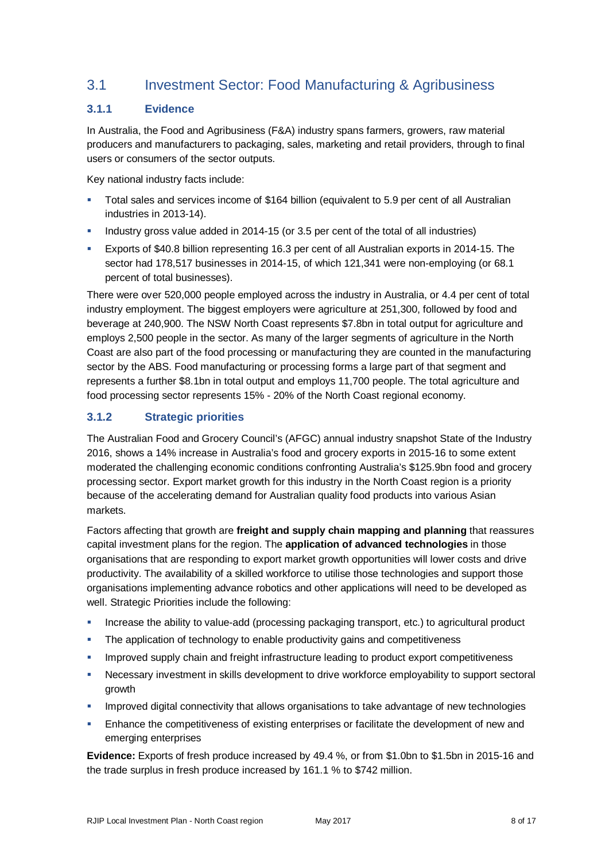## 3.1 Investment Sector: Food Manufacturing & Agribusiness

## **3.1.1 Evidence**

In Australia, the Food and Agribusiness (F&A) industry spans farmers, growers, raw material producers and manufacturers to packaging, sales, marketing and retail providers, through to final users or consumers of the sector outputs.

Key national industry facts include:

- Total sales and services income of \$164 billion (equivalent to 5.9 per cent of all Australian industries in 2013-14).
- Industry gross value added in 2014-15 (or 3.5 per cent of the total of all industries)
- Exports of \$40.8 billion representing 16.3 per cent of all Australian exports in 2014-15. The sector had 178,517 businesses in 2014-15, of which 121,341 were non-employing (or 68.1 percent of total businesses).

There were over 520,000 people employed across the industry in Australia, or 4.4 per cent of total industry employment. The biggest employers were agriculture at 251,300, followed by food and beverage at 240,900. The NSW North Coast represents \$7.8bn in total output for agriculture and employs 2,500 people in the sector. As many of the larger segments of agriculture in the North Coast are also part of the food processing or manufacturing they are counted in the manufacturing sector by the ABS. Food manufacturing or processing forms a large part of that segment and represents a further \$8.1bn in total output and employs 11,700 people. The total agriculture and food processing sector represents 15% - 20% of the North Coast regional economy.

## **3.1.2 Strategic priorities**

The Australian Food and Grocery Council's (AFGC) annual industry snapshot State of the Industry 2016, shows a 14% increase in Australia's food and grocery exports in 2015-16 to some extent moderated the challenging economic conditions confronting Australia's \$125.9bn food and grocery processing sector. Export market growth for this industry in the North Coast region is a priority because of the accelerating demand for Australian quality food products into various Asian markets.

Factors affecting that growth are **freight and supply chain mapping and planning** that reassures capital investment plans for the region. The **application of advanced technologies** in those organisations that are responding to export market growth opportunities will lower costs and drive productivity. The availability of a skilled workforce to utilise those technologies and support those organisations implementing advance robotics and other applications will need to be developed as well. Strategic Priorities include the following:

- Increase the ability to value-add (processing packaging transport, etc.) to agricultural product
- The application of technology to enable productivity gains and competitiveness
- **IMPROVED SUPPLY INCOVERGENT SIGNS INTERST** Improved supply chain and freight infractions Integrativeness
- Necessary investment in skills development to drive workforce employability to support sectoral growth
- Improved digital connectivity that allows organisations to take advantage of new technologies
- **Enhance the competitiveness of existing enterprises or facilitate the development of new and** emerging enterprises

**Evidence:** Exports of fresh produce increased by 49.4 %, or from \$1.0bn to \$1.5bn in 2015-16 and the trade surplus in fresh produce increased by 161.1 % to \$742 million.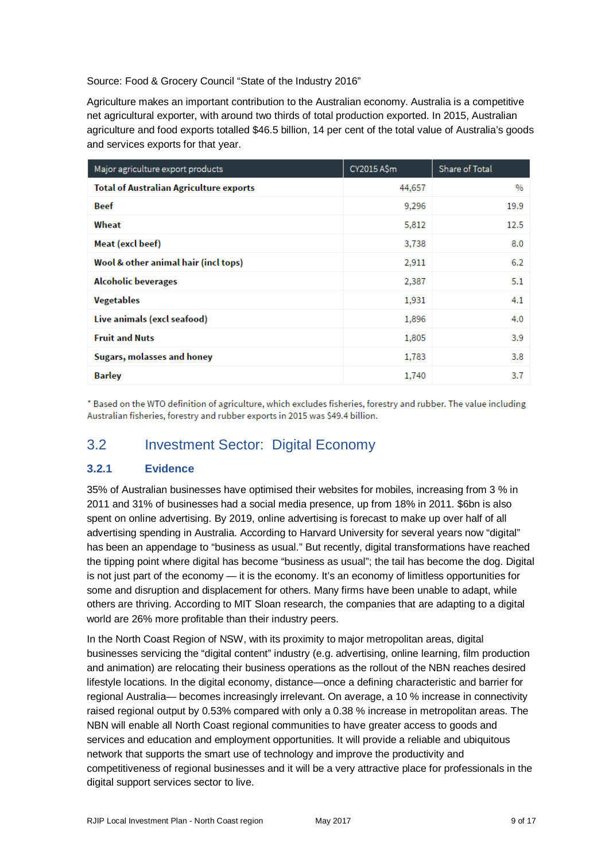#### Source: Food & Grocery Council "State of the Industry 2016"

Agriculture makes an important contribution to the Australian economy. Australia is a competitive net agricultural exporter, with around two thirds of total production exported. In 2015, Australian agriculture and food exports totalled \$46.5 billion, 14 per cent of the total value of Australia's goods and services exports for that year.

| Major agriculture export products              | CY2015 A\$m | Share of Total |
|------------------------------------------------|-------------|----------------|
| <b>Total of Australian Agriculture exports</b> | 44,657      | $\%$           |
| Beef                                           | 9,296       | 19.9           |
| Wheat                                          | 5,812       | 12.5           |
| Meat (excl beef)                               | 3,738       | 0.8            |
| Wool & other animal hair (incl tops)           | 2,911       | 6.2            |
| <b>Alcoholic beverages</b>                     | 2,387       | 5.1            |
| <b>Vegetables</b>                              | 1,931       | 4.1            |
| Live animals (excl seafood)                    | 1,896       | 4.0            |
| <b>Fruit and Nuts</b>                          | 1,805       | 3.9            |
| Sugars, molasses and honey                     | 1,783       | 3.8            |
| <b>Barley</b>                                  | 1,740       | 3.7            |

\* Based on the WTO definition of agriculture, which excludes fisheries, forestry and rubber. The value including Australian fisheries, forestry and rubber exports in 2015 was \$49.4 billion.

## 3.2 Investment Sector: Digital Economy

### **3.2.1 Evidence**

35% of Australian businesses have optimised their websites for mobiles, increasing from 3 % in 2011 and 31% of businesses had a social media presence, up from 18% in 2011. \$6bn is also spent on online advertising. By 2019, online advertising is forecast to make up over half of all advertising spending in Australia. According to Harvard University for several years now "digital" has been an appendage to "business as usual." But recently, digital transformations have reached the tipping point where digital has become "business as usual"; the tail has become the dog. Digital is not just part of the economy — it is the economy. It's an economy of limitless opportunities for some and disruption and displacement for others. Many firms have been unable to adapt, while others are thriving. According to MIT Sloan research, the companies that are adapting to a digital world are 26% more profitable than their industry peers.

In the North Coast Region of NSW, with its proximity to major metropolitan areas, digital businesses servicing the "digital content" industry (e.g. advertising, online learning, film production and animation) are relocating their business operations as the rollout of the NBN reaches desired lifestyle locations. In the digital economy, distance—once a defining characteristic and barrier for regional Australia— becomes increasingly irrelevant. On average, a 10 % increase in connectivity raised regional output by 0.53% compared with only a 0.38 % increase in metropolitan areas. The NBN will enable all North Coast regional communities to have greater access to goods and services and education and employment opportunities. It will provide a reliable and ubiquitous network that supports the smart use of technology and improve the productivity and competitiveness of regional businesses and it will be a very attractive place for professionals in the digital support services sector to live.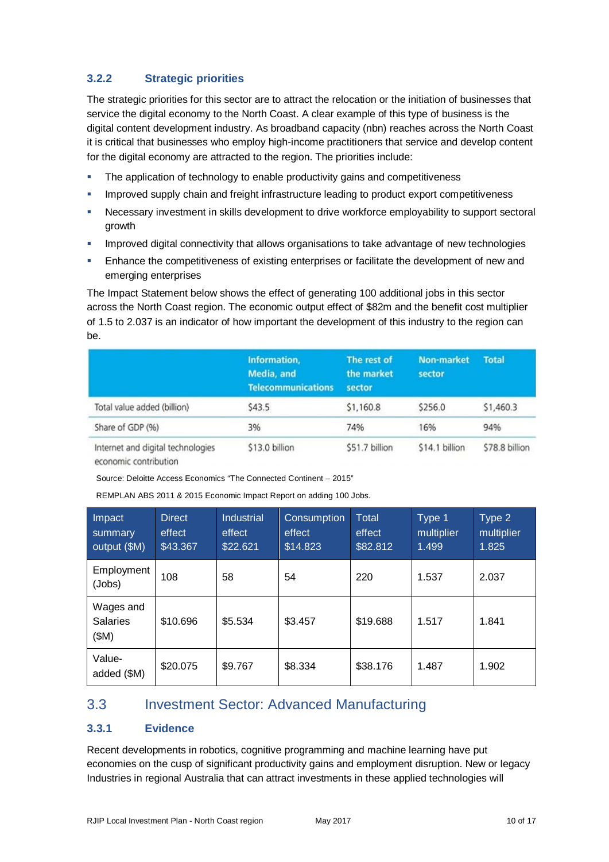## **3.2.2 Strategic priorities**

The strategic priorities for this sector are to attract the relocation or the initiation of businesses that service the digital economy to the North Coast. A clear example of this type of business is the digital content development industry. As broadband capacity (nbn) reaches across the North Coast it is critical that businesses who employ high-income practitioners that service and develop content for the digital economy are attracted to the region. The priorities include:

- The application of technology to enable productivity gains and competitiveness
- Improved supply chain and freight infrastructure leading to product export competitiveness
- Necessary investment in skills development to drive workforce employability to support sectoral growth
- **IMPROVED ADDIGIOUS 2015 CONNOCT 2015** Improved digital connectivity that allows organisations to take advantage of new technologies
- Enhance the competitiveness of existing enterprises or facilitate the development of new and emerging enterprises

The Impact Statement below shows the effect of generating 100 additional jobs in this sector across the North Coast region. The economic output effect of \$82m and the benefit cost multiplier of 1.5 to 2.037 is an indicator of how important the development of this industry to the region can be.

|                                                                                                                                                                                                                                                                     | Information,<br>Media, and<br><b>Telecommunications</b> | The rest of<br>the market<br>sector | <b>Non-market</b><br>sector | <b>Total</b>   |
|---------------------------------------------------------------------------------------------------------------------------------------------------------------------------------------------------------------------------------------------------------------------|---------------------------------------------------------|-------------------------------------|-----------------------------|----------------|
| Total value added (billion)                                                                                                                                                                                                                                         | \$43.5                                                  | \$1,160.8                           | \$256.0                     | \$1,460.3      |
| Share of GDP (%)                                                                                                                                                                                                                                                    | 3%                                                      | 74%                                 | 16%                         | 94%            |
| Internet and digital technologies<br>the committee of the committee of the committee of the committee of the committee of the committee of the committee of the committee of the committee of the committee of the committee of the committee of the committee of t | \$13.0 billion                                          | \$51.7 billion                      | \$14.1 billion              | \$78.8 billion |

economic contribution

Source: Deloitte Access Economics "The Connected Continent – 2015"

REMPLAN ABS 2011 & 2015 Economic Impact Report on adding 100 Jobs.

| Impact<br>summary<br>output (\$M)    | <b>Direct</b><br>effect<br>\$43.367 | <b>Industrial</b><br>effect<br>\$22.621 | Consumption<br>effect<br>\$14.823 | <b>Total</b><br>effect<br>\$82.812 | Type 1<br>multiplier<br>1.499 | Type 2<br>multiplier<br>1.825 |
|--------------------------------------|-------------------------------------|-----------------------------------------|-----------------------------------|------------------------------------|-------------------------------|-------------------------------|
| Employment<br>(Jobs)                 | 108                                 | 58                                      | 54                                | 220                                | 1.537                         | 2.037                         |
| Wages and<br><b>Salaries</b><br>(SM) | \$10.696                            | \$5.534                                 | \$3.457                           | \$19.688                           | 1.517                         | 1.841                         |
| Value-<br>added (\$M)                | \$20.075                            | \$9.767                                 | \$8.334                           | \$38.176                           | 1.487                         | 1.902                         |

## 3.3 Investment Sector: Advanced Manufacturing

### **3.3.1 Evidence**

Recent developments in robotics, cognitive programming and machine learning have put economies on the cusp of significant productivity gains and employment disruption. New or legacy Industries in regional Australia that can attract investments in these applied technologies will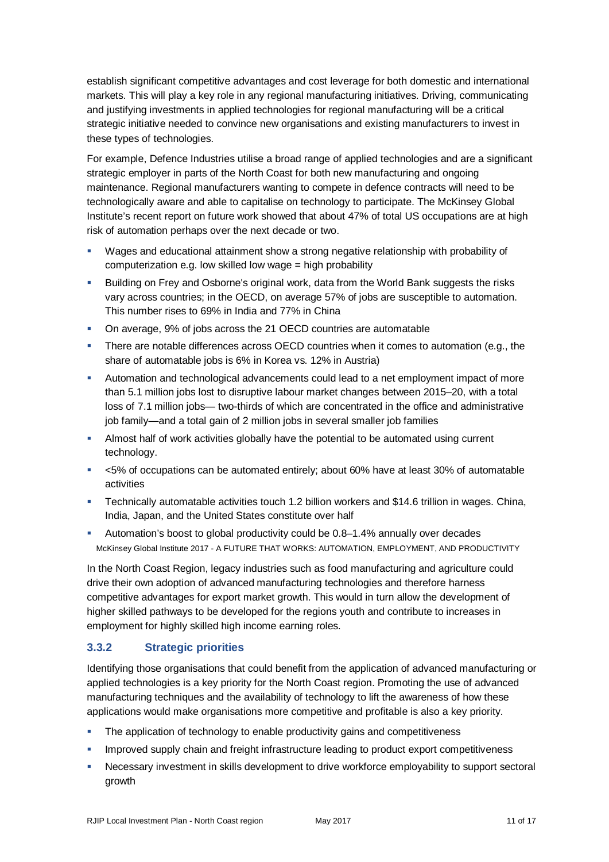establish significant competitive advantages and cost leverage for both domestic and international markets. This will play a key role in any regional manufacturing initiatives. Driving, communicating and justifying investments in applied technologies for regional manufacturing will be a critical strategic initiative needed to convince new organisations and existing manufacturers to invest in these types of technologies.

For example, Defence Industries utilise a broad range of applied technologies and are a significant strategic employer in parts of the North Coast for both new manufacturing and ongoing maintenance. Regional manufacturers wanting to compete in defence contracts will need to be technologically aware and able to capitalise on technology to participate. The McKinsey Global Institute's recent report on future work showed that about 47% of total US occupations are at high risk of automation perhaps over the next decade or two.

- Wages and educational attainment show a strong negative relationship with probability of computerization e.g. low skilled low wage = high probability
- Building on Frey and Osborne's original work, data from the World Bank suggests the risks vary across countries; in the OECD, on average 57% of jobs are susceptible to automation. This number rises to 69% in India and 77% in China
- On average, 9% of jobs across the 21 OECD countries are automatable
- There are notable differences across OECD countries when it comes to automation (e.g., the share of automatable jobs is 6% in Korea vs. 12% in Austria)
- Automation and technological advancements could lead to a net employment impact of more than 5.1 million jobs lost to disruptive labour market changes between 2015–20, with a total loss of 7.1 million jobs— two-thirds of which are concentrated in the office and administrative job family—and a total gain of 2 million jobs in several smaller job families
- Almost half of work activities globally have the potential to be automated using current technology.
- <5% of occupations can be automated entirely; about 60% have at least 30% of automatable activities
- Technically automatable activities touch 1.2 billion workers and \$14.6 trillion in wages. China, India, Japan, and the United States constitute over half
- Automation's boost to global productivity could be 0.8–1.4% annually over decades McKinsey Global Institute 2017 - A FUTURE THAT WORKS: AUTOMATION, EMPLOYMENT, AND PRODUCTIVITY

In the North Coast Region, legacy industries such as food manufacturing and agriculture could drive their own adoption of advanced manufacturing technologies and therefore harness competitive advantages for export market growth. This would in turn allow the development of higher skilled pathways to be developed for the regions youth and contribute to increases in employment for highly skilled high income earning roles.

### **3.3.2 Strategic priorities**

Identifying those organisations that could benefit from the application of advanced manufacturing or applied technologies is a key priority for the North Coast region. Promoting the use of advanced manufacturing techniques and the availability of technology to lift the awareness of how these applications would make organisations more competitive and profitable is also a key priority.

- The application of technology to enable productivity gains and competitiveness
- **IMPROVED SUPPLY CONTROVER 1** Improved supply chain and freight infrastructure leading to product export competitiveness
- Necessary investment in skills development to drive workforce employability to support sectoral growth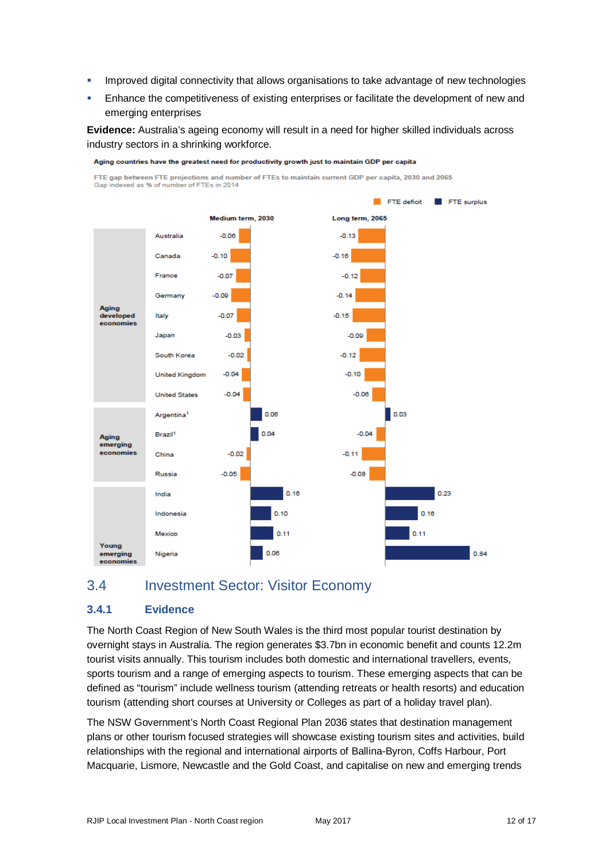- Improved digital connectivity that allows organisations to take advantage of new technologies
- **Enhance the competitiveness of existing enterprises or facilitate the development of new and** emerging enterprises

**Evidence:** Australia's ageing economy will result in a need for higher skilled individuals across industry sectors in a shrinking workforce.



Aging countries have the greatest need for productivity growth just to maintain GDP per capita

## 3.4 Investment Sector: Visitor Economy

### **3.4.1 Evidence**

The North Coast Region of New South Wales is the third most popular tourist destination by overnight stays in Australia. The region generates \$3.7bn in economic benefit and counts 12.2m tourist visits annually. This tourism includes both domestic and international travellers, events, sports tourism and a range of emerging aspects to tourism. These emerging aspects that can be defined as "tourism" include wellness tourism (attending retreats or health resorts) and education tourism (attending short courses at University or Colleges as part of a holiday travel plan).

The NSW Government's North Coast Regional Plan 2036 states that destination management plans or other tourism focused strategies will showcase existing tourism sites and activities, build relationships with the regional and international airports of Ballina-Byron, Coffs Harbour, Port Macquarie, Lismore, Newcastle and the Gold Coast, and capitalise on new and emerging trends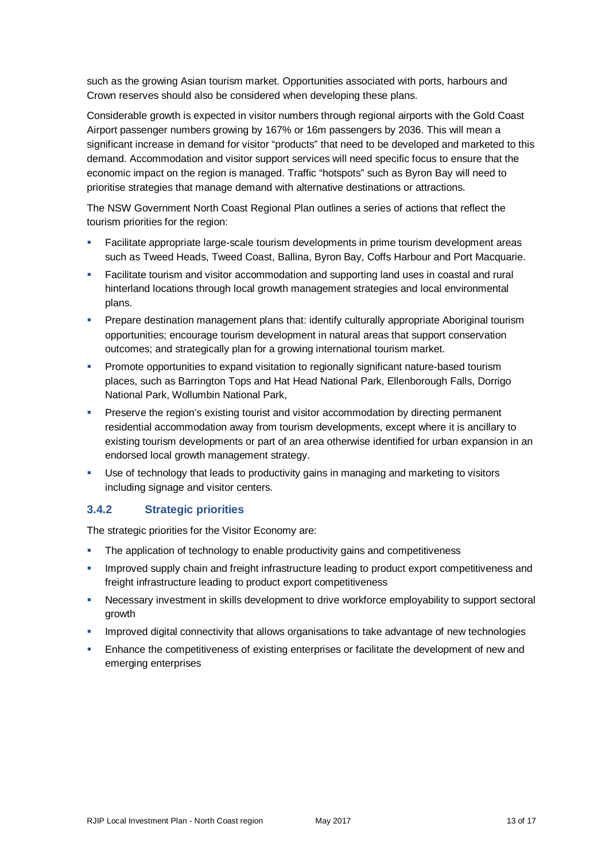such as the growing Asian tourism market. Opportunities associated with ports, harbours and Crown reserves should also be considered when developing these plans.

Considerable growth is expected in visitor numbers through regional airports with the Gold Coast Airport passenger numbers growing by 167% or 16m passengers by 2036. This will mean a significant increase in demand for visitor "products" that need to be developed and marketed to this demand. Accommodation and visitor support services will need specific focus to ensure that the economic impact on the region is managed. Traffic "hotspots" such as Byron Bay will need to prioritise strategies that manage demand with alternative destinations or attractions.

The NSW Government North Coast Regional Plan outlines a series of actions that reflect the tourism priorities for the region:

- Facilitate appropriate large-scale tourism developments in prime tourism development areas such as Tweed Heads, Tweed Coast, Ballina, Byron Bay, Coffs Harbour and Port Macquarie.
- Facilitate tourism and visitor accommodation and supporting land uses in coastal and rural hinterland locations through local growth management strategies and local environmental plans.
- Prepare destination management plans that: identify culturally appropriate Aboriginal tourism opportunities; encourage tourism development in natural areas that support conservation outcomes; and strategically plan for a growing international tourism market.
- Promote opportunities to expand visitation to regionally significant nature-based tourism places, such as Barrington Tops and Hat Head National Park, Ellenborough Falls, Dorrigo National Park, Wollumbin National Park,
- **Preserve the region's existing tourist and visitor accommodation by directing permanent** residential accommodation away from tourism developments, except where it is ancillary to existing tourism developments or part of an area otherwise identified for urban expansion in an endorsed local growth management strategy.
- Use of technology that leads to productivity gains in managing and marketing to visitors including signage and visitor centers.

### **3.4.2 Strategic priorities**

The strategic priorities for the Visitor Economy are:

- The application of technology to enable productivity gains and competitiveness
- Improved supply chain and freight infrastructure leading to product export competitiveness and freight infrastructure leading to product export competitiveness
- Necessary investment in skills development to drive workforce employability to support sectoral growth
- Improved digital connectivity that allows organisations to take advantage of new technologies
- Enhance the competitiveness of existing enterprises or facilitate the development of new and emerging enterprises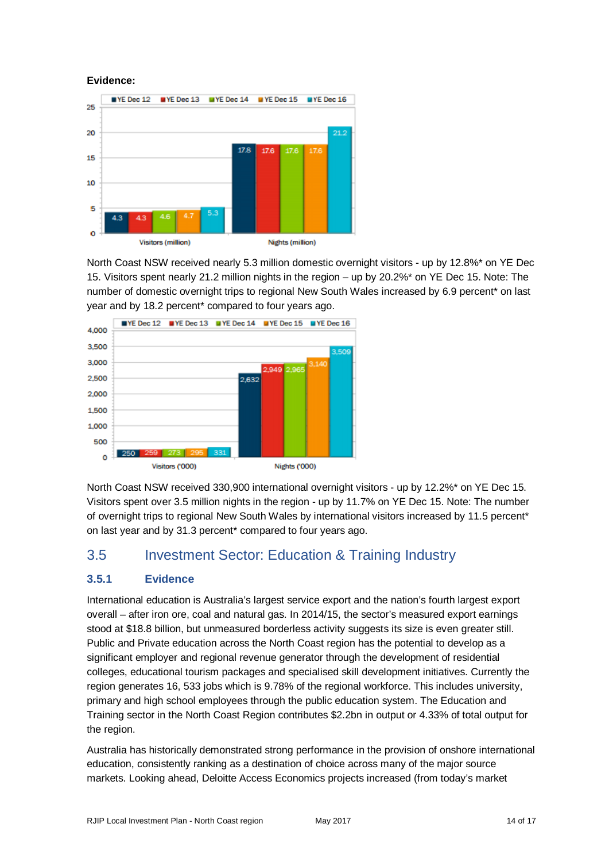#### **Evidence:**



North Coast NSW received nearly 5.3 million domestic overnight visitors - up by 12.8%\* on YE Dec 15. Visitors spent nearly 21.2 million nights in the region – up by 20.2%\* on YE Dec 15. Note: The number of domestic overnight trips to regional New South Wales increased by 6.9 percent\* on last year and by 18.2 percent\* compared to four years ago.



North Coast NSW received 330,900 international overnight visitors - up by 12.2%\* on YE Dec 15. Visitors spent over 3.5 million nights in the region - up by 11.7% on YE Dec 15. Note: The number of overnight trips to regional New South Wales by international visitors increased by 11.5 percent\* on last year and by 31.3 percent\* compared to four years ago.

## 3.5 Investment Sector: Education & Training Industry

### **3.5.1 Evidence**

International education is Australia's largest service export and the nation's fourth largest export overall – after iron ore, coal and natural gas. In 2014/15, the sector's measured export earnings stood at \$18.8 billion, but unmeasured borderless activity suggests its size is even greater still. Public and Private education across the North Coast region has the potential to develop as a significant employer and regional revenue generator through the development of residential colleges, educational tourism packages and specialised skill development initiatives. Currently the region generates 16, 533 jobs which is 9.78% of the regional workforce. This includes university, primary and high school employees through the public education system. The Education and Training sector in the North Coast Region contributes \$2.2bn in output or 4.33% of total output for the region.

Australia has historically demonstrated strong performance in the provision of onshore international education, consistently ranking as a destination of choice across many of the major source markets. Looking ahead, Deloitte Access Economics projects increased (from today's market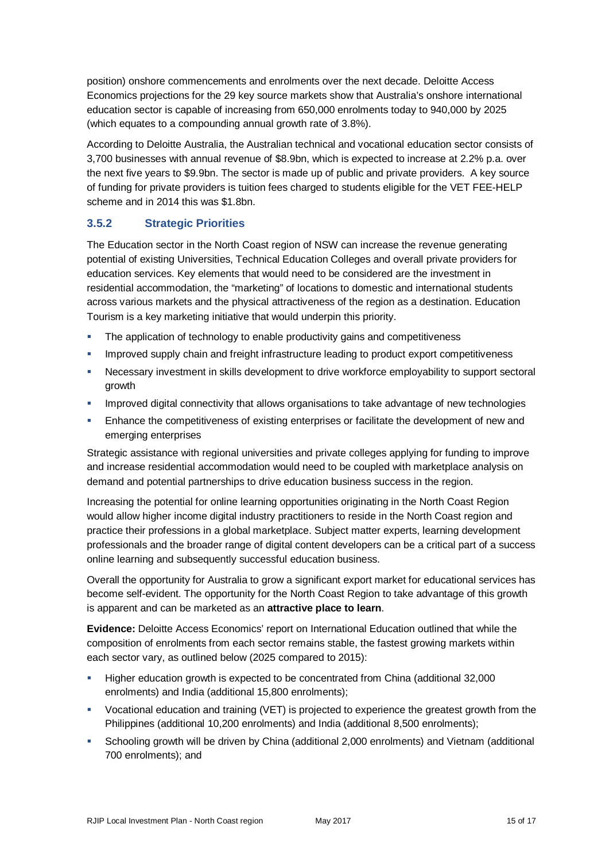position) onshore commencements and enrolments over the next decade. Deloitte Access Economics projections for the 29 key source markets show that Australia's onshore international education sector is capable of increasing from 650,000 enrolments today to 940,000 by 2025 (which equates to a compounding annual growth rate of 3.8%).

According to Deloitte Australia, the Australian technical and vocational education sector consists of 3,700 businesses with annual revenue of \$8.9bn, which is expected to increase at 2.2% p.a. over the next five years to \$9.9bn. The sector is made up of public and private providers. A key source of funding for private providers is tuition fees charged to students eligible for the VET FEE-HELP scheme and in 2014 this was \$1.8bn.

## **3.5.2 Strategic Priorities**

The Education sector in the North Coast region of NSW can increase the revenue generating potential of existing Universities, Technical Education Colleges and overall private providers for education services. Key elements that would need to be considered are the investment in residential accommodation, the "marketing" of locations to domestic and international students across various markets and the physical attractiveness of the region as a destination. Education Tourism is a key marketing initiative that would underpin this priority.

- The application of technology to enable productivity gains and competitiveness
- Improved supply chain and freight infrastructure leading to product export competitiveness
- **Necessary investment in skills development to drive workforce employability to support sectoral** growth
- Improved digital connectivity that allows organisations to take advantage of new technologies
- **Enhance the competitiveness of existing enterprises or facilitate the development of new and** emerging enterprises

Strategic assistance with regional universities and private colleges applying for funding to improve and increase residential accommodation would need to be coupled with marketplace analysis on demand and potential partnerships to drive education business success in the region.

Increasing the potential for online learning opportunities originating in the North Coast Region would allow higher income digital industry practitioners to reside in the North Coast region and practice their professions in a global marketplace. Subject matter experts, learning development professionals and the broader range of digital content developers can be a critical part of a success online learning and subsequently successful education business.

Overall the opportunity for Australia to grow a significant export market for educational services has become self-evident. The opportunity for the North Coast Region to take advantage of this growth is apparent and can be marketed as an **attractive place to learn**.

**Evidence:** Deloitte Access Economics' report on International Education outlined that while the composition of enrolments from each sector remains stable, the fastest growing markets within each sector vary, as outlined below (2025 compared to 2015):

- Higher education growth is expected to be concentrated from China (additional 32,000 enrolments) and India (additional 15,800 enrolments);
- Vocational education and training (VET) is projected to experience the greatest growth from the Philippines (additional 10,200 enrolments) and India (additional 8,500 enrolments);
- Schooling growth will be driven by China (additional 2,000 enrolments) and Vietnam (additional 700 enrolments); and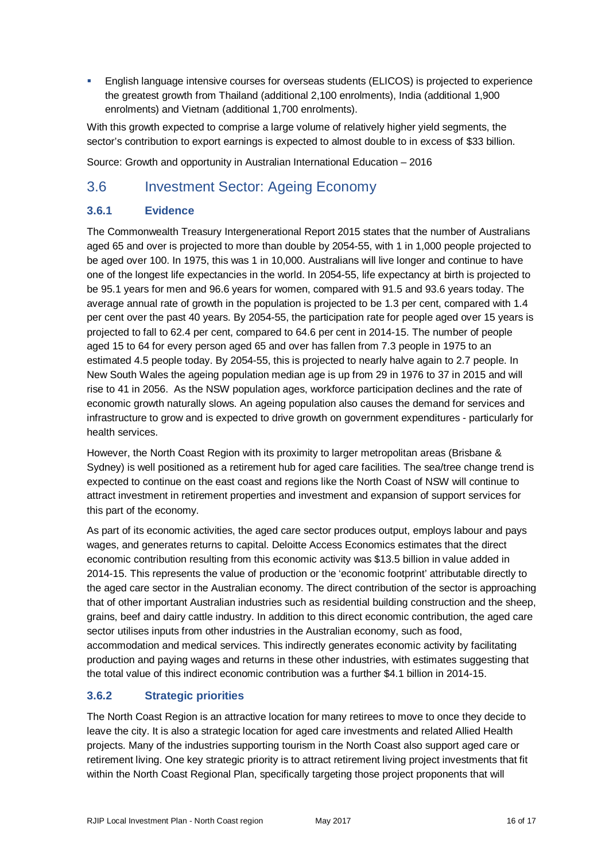English language intensive courses for overseas students (ELICOS) is projected to experience the greatest growth from Thailand (additional 2,100 enrolments), India (additional 1,900 enrolments) and Vietnam (additional 1,700 enrolments).

With this growth expected to comprise a large volume of relatively higher yield segments, the sector's contribution to export earnings is expected to almost double to in excess of \$33 billion.

Source: Growth and opportunity in Australian International Education – 2016

## 3.6 Investment Sector: Ageing Economy

## **3.6.1 Evidence**

The Commonwealth Treasury Intergenerational Report 2015 states that the number of Australians aged 65 and over is projected to more than double by 2054-55, with 1 in 1,000 people projected to be aged over 100. In 1975, this was 1 in 10,000. Australians will live longer and continue to have one of the longest life expectancies in the world. In 2054-55, life expectancy at birth is projected to be 95.1 years for men and 96.6 years for women, compared with 91.5 and 93.6 years today. The average annual rate of growth in the population is projected to be 1.3 per cent, compared with 1.4 per cent over the past 40 years. By 2054-55, the participation rate for people aged over 15 years is projected to fall to 62.4 per cent, compared to 64.6 per cent in 2014-15. The number of people aged 15 to 64 for every person aged 65 and over has fallen from 7.3 people in 1975 to an estimated 4.5 people today. By 2054-55, this is projected to nearly halve again to 2.7 people. In New South Wales the ageing population median age is up from 29 in 1976 to 37 in 2015 and will rise to 41 in 2056. As the NSW population ages, workforce participation declines and the rate of economic growth naturally slows. An ageing population also causes the demand for services and infrastructure to grow and is expected to drive growth on government expenditures - particularly for health services.

However, the North Coast Region with its proximity to larger metropolitan areas (Brisbane & Sydney) is well positioned as a retirement hub for aged care facilities. The sea/tree change trend is expected to continue on the east coast and regions like the North Coast of NSW will continue to attract investment in retirement properties and investment and expansion of support services for this part of the economy.

As part of its economic activities, the aged care sector produces output, employs labour and pays wages, and generates returns to capital. Deloitte Access Economics estimates that the direct economic contribution resulting from this economic activity was \$13.5 billion in value added in 2014-15. This represents the value of production or the 'economic footprint' attributable directly to the aged care sector in the Australian economy. The direct contribution of the sector is approaching that of other important Australian industries such as residential building construction and the sheep, grains, beef and dairy cattle industry. In addition to this direct economic contribution, the aged care sector utilises inputs from other industries in the Australian economy, such as food, accommodation and medical services. This indirectly generates economic activity by facilitating production and paying wages and returns in these other industries, with estimates suggesting that the total value of this indirect economic contribution was a further \$4.1 billion in 2014-15.

## **3.6.2 Strategic priorities**

The North Coast Region is an attractive location for many retirees to move to once they decide to leave the city. It is also a strategic location for aged care investments and related Allied Health projects. Many of the industries supporting tourism in the North Coast also support aged care or retirement living. One key strategic priority is to attract retirement living project investments that fit within the North Coast Regional Plan, specifically targeting those project proponents that will